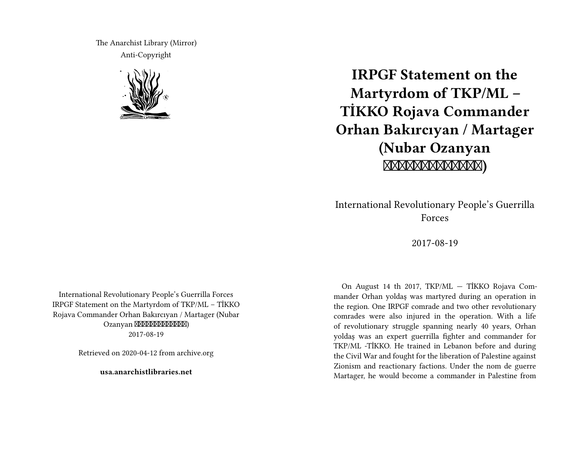The Anarchist Library (Mirror) Anti-Copyright



# **IRPGF Statement on the Martyrdom of TKP/ML – TİKKO Rojava Commander Orhan Bakırcıyan / Martager (Nubar Ozanyan )**

International Revolutionary People's Guerrilla Forces

2017-08-19

International Revolutionary People's Guerrilla Forces IRPGF Statement on the Martyrdom of TKP/ML – TİKKO Rojava Commander Orhan Bakırcıyan / Martager (Nubar Ozanyan XXXXXXXXXXXXXX 2017-08-19

Retrieved on 2020-04-12 from archive.org

**usa.anarchistlibraries.net**

On August 14 th 2017, TKP/ML — TİKKO Rojava Commander Orhan yoldaş was martyred during an operation in the region. One IRPGF comrade and two other revolutionary comrades were also injured in the operation. With a life of revolutionary struggle spanning nearly 40 years, Orhan yoldaş was an expert guerrilla fighter and commander for TKP/ML -TİKKO. He trained in Lebanon before and during the Civil War and fought for the liberation of Palestine against Zionism and reactionary factions. Under the nom de guerre Martager, he would become a commander in Palestine from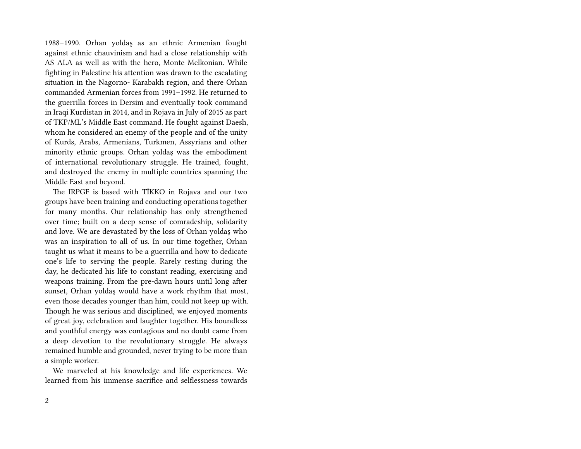1988–1990. Orhan yoldaş as an ethnic Armenian fought against ethnic chauvinism and had a close relationship with AS ALA as well as with the hero, Monte Melkonian. While fighting in Palestine his attention was drawn to the escalating situation in the Nagorno- Karabakh region, and there Orhan commanded Armenian forces from 1991–1992. He returned to the guerrilla forces in Dersim and eventually took command in Iraqi Kurdistan in 2014, and in Rojava in July of 2015 as part of TKP/ML's Middle East command. He fought against Daesh, whom he considered an enemy of the people and of the unity of Kurds, Arabs, Armenians, Turkmen, Assyrians and other minority ethnic groups. Orhan yoldaş was the embodiment of international revolutionary struggle. He trained, fought, and destroyed the enemy in multiple countries spanning the Middle East and beyond.

The IRPGF is based with TİKKO in Rojava and our two groups have been training and conducting operations together for many months. Our relationship has only strengthened over time; built on a deep sense of comradeship, solidarity and love. We are devastated by the loss of Orhan yoldaş who was an inspiration to all of us. In our time together, Orhan taught us what it means to be a guerrilla and how to dedicate one's life to serving the people. Rarely resting during the day, he dedicated his life to constant reading, exercising and weapons training. From the pre-dawn hours until long after sunset, Orhan yoldaş would have a work rhythm that most, even those decades younger than him, could not keep up with. Though he was serious and disciplined, we enjoyed moments of great joy, celebration and laughter together. His boundless and youthful energy was contagious and no doubt came from a deep devotion to the revolutionary struggle. He always remained humble and grounded, never trying to be more than a simple worker.

We marveled at his knowledge and life experiences. We learned from his immense sacrifice and selflessness towards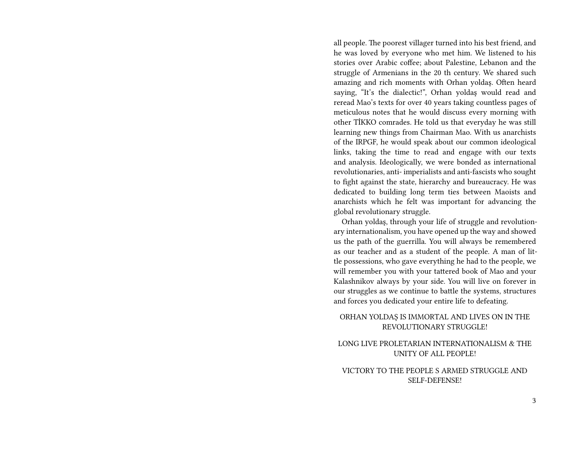all people. The poorest villager turned into his best friend, and he was loved by everyone who met him. We listened to his stories over Arabic coffee; about Palestine, Lebanon and the struggle of Armenians in the 20 th century. We shared such amazing and rich moments with Orhan yoldaş. Often heard saying, "It's the dialectic!", Orhan yoldaş would read and reread Mao's texts for over 40 years taking countless pages of meticulous notes that he would discuss every morning with other TİKKO comrades. He told us that everyday he was still learning new things from Chairman Mao. With us anarchists of the IRPGF, he would speak about our common ideological links, taking the time to read and engage with our texts and analysis. Ideologically, we were bonded as international revolutionaries, anti- imperialists and anti-fascists who sought to fight against the state, hierarchy and bureaucracy. He was dedicated to building long term ties between Maoists and anarchists which he felt was important for advancing the global revolutionary struggle.

Orhan yoldaş, through your life of struggle and revolutionary internationalism, you have opened up the way and showed us the path of the guerrilla. You will always be remembered as our teacher and as a student of the people. A man of little possessions, who gave everything he had to the people, we will remember you with your tattered book of Mao and your Kalashnikov always by your side. You will live on forever in our struggles as we continue to battle the systems, structures and forces you dedicated your entire life to defeating.

### ORHAN YOLDAŞ IS IMMORTAL AND LIVES ON IN THE REVOLUTIONARY STRUGGLE!

### LONG LIVE PROLETARIAN INTERNATIONALISM & THE UNITY OF ALL PEOPLE!

#### VICTORY TO THE PEOPLE S ARMED STRUGGLE AND SELF-DEFENSE!